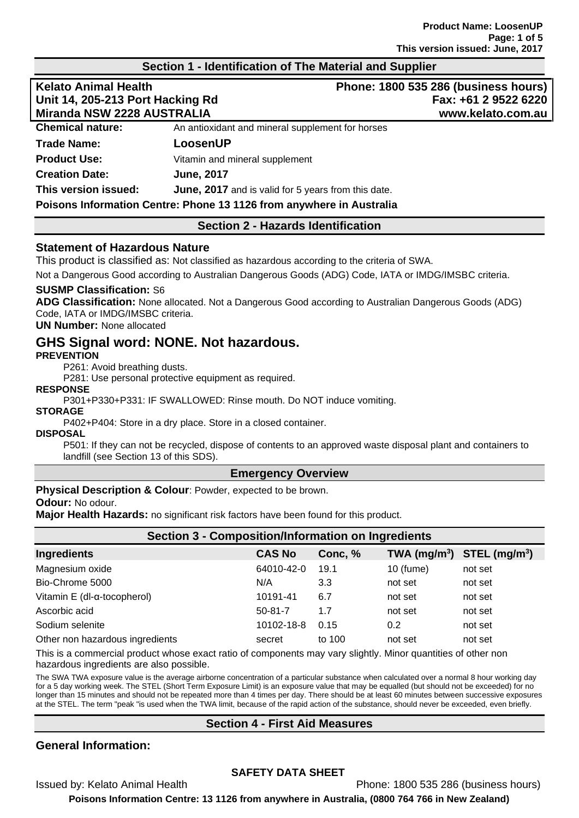## **Section 1 - Identification of The Material and Supplier**

| <b>Kelato Animal Health</b><br>Unit 14, 205-213 Port Hacking Rd |                                                            | Phone: 1800 535 286 (business hours)<br>Fax: +61 2 9522 6220 |  |
|-----------------------------------------------------------------|------------------------------------------------------------|--------------------------------------------------------------|--|
|                                                                 |                                                            |                                                              |  |
| <b>Chemical nature:</b>                                         | An antioxidant and mineral supplement for horses           |                                                              |  |
| <b>Trade Name:</b>                                              | LoosenUP                                                   |                                                              |  |
| <b>Product Use:</b>                                             | Vitamin and mineral supplement                             |                                                              |  |
| <b>Creation Date:</b>                                           | <b>June, 2017</b>                                          |                                                              |  |
| This version issued:                                            | <b>June, 2017</b> and is valid for 5 years from this date. |                                                              |  |
|                                                                 |                                                            |                                                              |  |

# **Poisons Information Centre: Phone 13 1126 from anywhere in Australia**

### **Section 2 - Hazards Identification**

### **Statement of Hazardous Nature**

This product is classified as: Not classified as hazardous according to the criteria of SWA.

Not a Dangerous Good according to Australian Dangerous Goods (ADG) Code, IATA or IMDG/IMSBC criteria.

### **SUSMP Classification:** S6

**ADG Classification:** None allocated. Not a Dangerous Good according to Australian Dangerous Goods (ADG) Code, IATA or IMDG/IMSBC criteria.

### **UN Number:** None allocated

# **GHS Signal word: NONE. Not hazardous.**

### **PREVENTION**

P261: Avoid breathing dusts.

P281: Use personal protective equipment as required.

**RESPONSE**

P301+P330+P331: IF SWALLOWED: Rinse mouth. Do NOT induce vomiting.

## **STORAGE**

P402+P404: Store in a dry place. Store in a closed container.

### **DISPOSAL**

P501: If they can not be recycled, dispose of contents to an approved waste disposal plant and containers to landfill (see Section 13 of this SDS).

### **Emergency Overview**

**Physical Description & Colour: Powder, expected to be brown.** 

### **Odour:** No odour.

**Major Health Hazards:** no significant risk factors have been found for this product.

| <b>Section 3 - Composition/Information on Ingredients</b> |               |         |           |                                |  |
|-----------------------------------------------------------|---------------|---------|-----------|--------------------------------|--|
| <b>Ingredients</b>                                        | <b>CAS No</b> | Conc, % |           | TWA $(mg/m^3)$ STEL $(mg/m^3)$ |  |
| Magnesium oxide                                           | 64010-42-0    | 19.1    | 10 (fume) | not set                        |  |
| Bio-Chrome 5000                                           | N/A           | 3.3     | not set   | not set                        |  |
| Vitamin E (dl-α-tocopherol)                               | 10191-41      | 6.7     | not set   | not set                        |  |
| Ascorbic acid                                             | $50 - 81 - 7$ | 1.7     | not set   | not set                        |  |
| Sodium selenite                                           | 10102-18-8    | 0.15    | 0.2       | not set                        |  |
| Other non hazardous ingredients                           | secret        | to 100  | not set   | not set                        |  |
|                                                           |               |         |           |                                |  |

This is a commercial product whose exact ratio of components may vary slightly. Minor quantities of other non hazardous ingredients are also possible.

The SWA TWA exposure value is the average airborne concentration of a particular substance when calculated over a normal 8 hour working day for a 5 day working week. The STEL (Short Term Exposure Limit) is an exposure value that may be equalled (but should not be exceeded) for no longer than 15 minutes and should not be repeated more than 4 times per day. There should be at least 60 minutes between successive exposures at the STEL. The term "peak "is used when the TWA limit, because of the rapid action of the substance, should never be exceeded, even briefly.

## **Section 4 - First Aid Measures**

## **General Information:**

## **SAFETY DATA SHEET**

Issued by: Kelato Animal Health Phone: 1800 535 286 (business hours)

**Poisons Information Centre: 13 1126 from anywhere in Australia, (0800 764 766 in New Zealand)**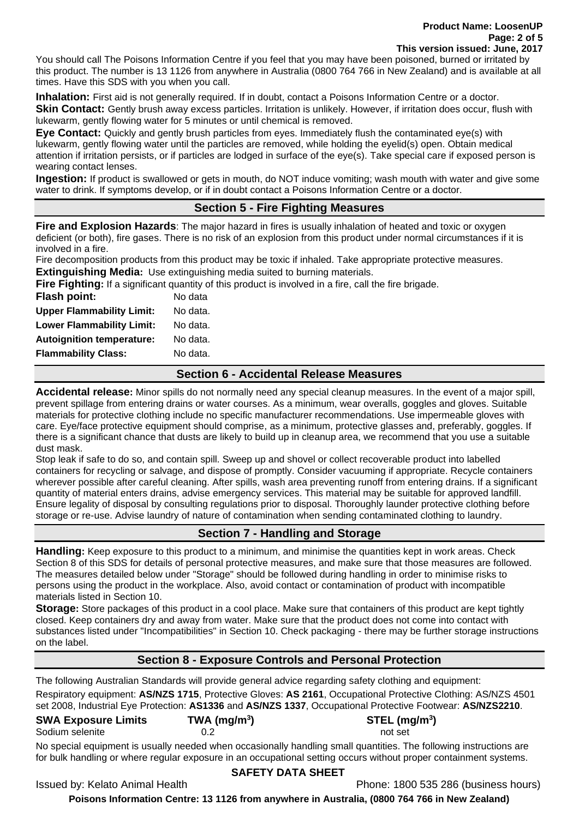#### **Product Name: LoosenUP Page: 2 of 5 This version issued: June, 2017**

You should call The Poisons Information Centre if you feel that you may have been poisoned, burned or irritated by this product. The number is 13 1126 from anywhere in Australia (0800 764 766 in New Zealand) and is available at all times. Have this SDS with you when you call.

**Inhalation:** First aid is not generally required. If in doubt, contact a Poisons Information Centre or a doctor. **Skin Contact:** Gently brush away excess particles. Irritation is unlikely. However, if irritation does occur, flush with lukewarm, gently flowing water for 5 minutes or until chemical is removed.

**Eye Contact:** Quickly and gently brush particles from eyes. Immediately flush the contaminated eye(s) with lukewarm, gently flowing water until the particles are removed, while holding the eyelid(s) open. Obtain medical attention if irritation persists, or if particles are lodged in surface of the eye(s). Take special care if exposed person is wearing contact lenses.

**Ingestion:** If product is swallowed or gets in mouth, do NOT induce vomiting; wash mouth with water and give some water to drink. If symptoms develop, or if in doubt contact a Poisons Information Centre or a doctor.

# **Section 5 - Fire Fighting Measures**

**Fire and Explosion Hazards**: The major hazard in fires is usually inhalation of heated and toxic or oxygen deficient (or both), fire gases. There is no risk of an explosion from this product under normal circumstances if it is involved in a fire.

Fire decomposition products from this product may be toxic if inhaled. Take appropriate protective measures. **Extinguishing Media:** Use extinguishing media suited to burning materials.

**Fire Fighting:** If a significant quantity of this product is involved in a fire, call the fire brigade.

| <b>Flash point:</b>              | No data  |
|----------------------------------|----------|
| <b>Upper Flammability Limit:</b> | No data. |
| <b>Lower Flammability Limit:</b> | No data. |
| <b>Autoignition temperature:</b> | No data. |
| <b>Flammability Class:</b>       | No data. |
|                                  |          |

## **Section 6 - Accidental Release Measures**

**Accidental release:** Minor spills do not normally need any special cleanup measures. In the event of a major spill, prevent spillage from entering drains or water courses. As a minimum, wear overalls, goggles and gloves. Suitable materials for protective clothing include no specific manufacturer recommendations. Use impermeable gloves with care. Eye/face protective equipment should comprise, as a minimum, protective glasses and, preferably, goggles. If there is a significant chance that dusts are likely to build up in cleanup area, we recommend that you use a suitable dust mask.

Stop leak if safe to do so, and contain spill. Sweep up and shovel or collect recoverable product into labelled containers for recycling or salvage, and dispose of promptly. Consider vacuuming if appropriate. Recycle containers wherever possible after careful cleaning. After spills, wash area preventing runoff from entering drains. If a significant quantity of material enters drains, advise emergency services. This material may be suitable for approved landfill. Ensure legality of disposal by consulting regulations prior to disposal. Thoroughly launder protective clothing before storage or re-use. Advise laundry of nature of contamination when sending contaminated clothing to laundry.

# **Section 7 - Handling and Storage**

**Handling:** Keep exposure to this product to a minimum, and minimise the quantities kept in work areas. Check Section 8 of this SDS for details of personal protective measures, and make sure that those measures are followed. The measures detailed below under "Storage" should be followed during handling in order to minimise risks to persons using the product in the workplace. Also, avoid contact or contamination of product with incompatible materials listed in Section 10.

**Storage:** Store packages of this product in a cool place. Make sure that containers of this product are kept tightly closed. Keep containers dry and away from water. Make sure that the product does not come into contact with substances listed under "Incompatibilities" in Section 10. Check packaging - there may be further storage instructions on the label.

# **Section 8 - Exposure Controls and Personal Protection**

The following Australian Standards will provide general advice regarding safety clothing and equipment: Respiratory equipment: **AS/NZS 1715**, Protective Gloves: **AS 2161**, Occupational Protective Clothing: AS/NZS 4501 set 2008, Industrial Eye Protection: **AS1336** and **AS/NZS 1337**, Occupational Protective Footwear: **AS/NZS2210**.

**) STEL (mg/m<sup>3</sup> )**

# **SWA Exposure Limits TWA (mg/m<sup>3</sup>**

### Sodium selenite and the contract of the contract of the contract of the contract of the contract of the contract of the contract of the contract of the contract of the contract of the contract of the contract of the contra

No special equipment is usually needed when occasionally handling small quantities. The following instructions are for bulk handling or where regular exposure in an occupational setting occurs without proper containment systems.

## **SAFETY DATA SHEET**

Issued by: Kelato Animal Health Phone: 1800 535 286 (business hours)

**Poisons Information Centre: 13 1126 from anywhere in Australia, (0800 764 766 in New Zealand)**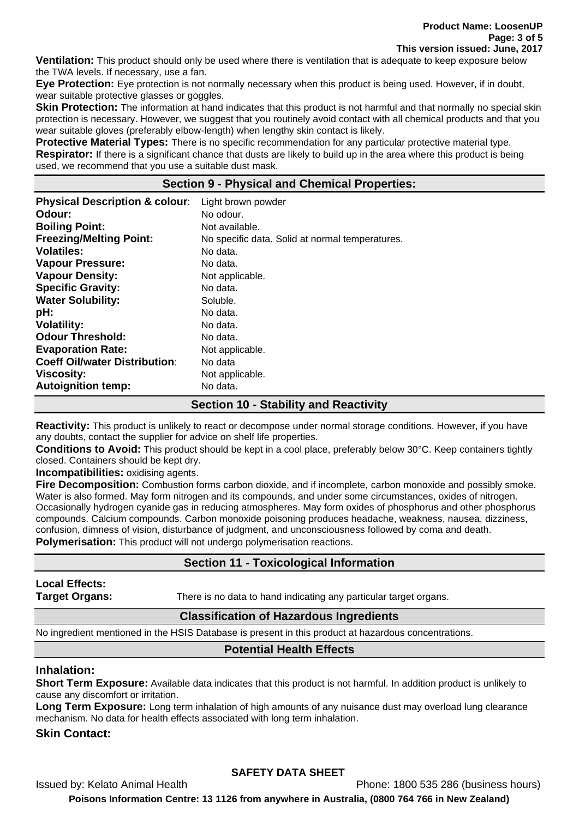**Product Name: LoosenUP Page: 3 of 5 This version issued: June, 2017**

**Ventilation:** This product should only be used where there is ventilation that is adequate to keep exposure below the TWA levels. If necessary, use a fan.

**Eye Protection:** Eye protection is not normally necessary when this product is being used. However, if in doubt, wear suitable protective glasses or goggles.

**Skin Protection:** The information at hand indicates that this product is not harmful and that normally no special skin protection is necessary. However, we suggest that you routinely avoid contact with all chemical products and that you wear suitable gloves (preferably elbow-length) when lengthy skin contact is likely.

**Protective Material Types:** There is no specific recommendation for any particular protective material type. **Respirator:** If there is a significant chance that dusts are likely to build up in the area where this product is being used, we recommend that you use a suitable dust mask.

# **Section 9 - Physical and Chemical Properties:**

| <b>Physical Description &amp; colour:</b> | Light brown powder                              |
|-------------------------------------------|-------------------------------------------------|
| Odour:                                    | No odour.                                       |
| <b>Boiling Point:</b>                     | Not available.                                  |
| <b>Freezing/Melting Point:</b>            | No specific data. Solid at normal temperatures. |
| <b>Volatiles:</b>                         | No data.                                        |
| <b>Vapour Pressure:</b>                   | No data.                                        |
| <b>Vapour Density:</b>                    | Not applicable.                                 |
| <b>Specific Gravity:</b>                  | No data.                                        |
| <b>Water Solubility:</b>                  | Soluble.                                        |
| pH:                                       | No data.                                        |
| <b>Volatility:</b>                        | No data.                                        |
| <b>Odour Threshold:</b>                   | No data.                                        |
| <b>Evaporation Rate:</b>                  | Not applicable.                                 |
| <b>Coeff Oil/water Distribution:</b>      | No data                                         |
| <b>Viscosity:</b>                         | Not applicable.                                 |
| <b>Autoignition temp:</b>                 | No data.                                        |
|                                           |                                                 |

# **Section 10 - Stability and Reactivity**

**Reactivity:** This product is unlikely to react or decompose under normal storage conditions. However, if you have any doubts, contact the supplier for advice on shelf life properties.

**Conditions to Avoid:** This product should be kept in a cool place, preferably below 30°C. Keep containers tightly closed. Containers should be kept dry.

**Incompatibilities:** oxidising agents.

**Fire Decomposition:** Combustion forms carbon dioxide, and if incomplete, carbon monoxide and possibly smoke. Water is also formed. May form nitrogen and its compounds, and under some circumstances, oxides of nitrogen. Occasionally hydrogen cyanide gas in reducing atmospheres. May form oxides of phosphorus and other phosphorus compounds. Calcium compounds. Carbon monoxide poisoning produces headache, weakness, nausea, dizziness, confusion, dimness of vision, disturbance of judgment, and unconsciousness followed by coma and death. **Polymerisation:** This product will not undergo polymerisation reactions.

## **Section 11 - Toxicological Information**

**Local Effects:** 

**Target Organs:** There is no data to hand indicating any particular target organs.

## **Classification of Hazardous Ingredients**

No ingredient mentioned in the HSIS Database is present in this product at hazardous concentrations.

## **Potential Health Effects**

### **Inhalation:**

**Short Term Exposure:** Available data indicates that this product is not harmful. In addition product is unlikely to cause any discomfort or irritation.

**Long Term Exposure:** Long term inhalation of high amounts of any nuisance dust may overload lung clearance mechanism. No data for health effects associated with long term inhalation.

## **Skin Contact:**

## **SAFETY DATA SHEET**

Issued by: Kelato Animal Health Phone: 1800 535 286 (business hours)

**Poisons Information Centre: 13 1126 from anywhere in Australia, (0800 764 766 in New Zealand)**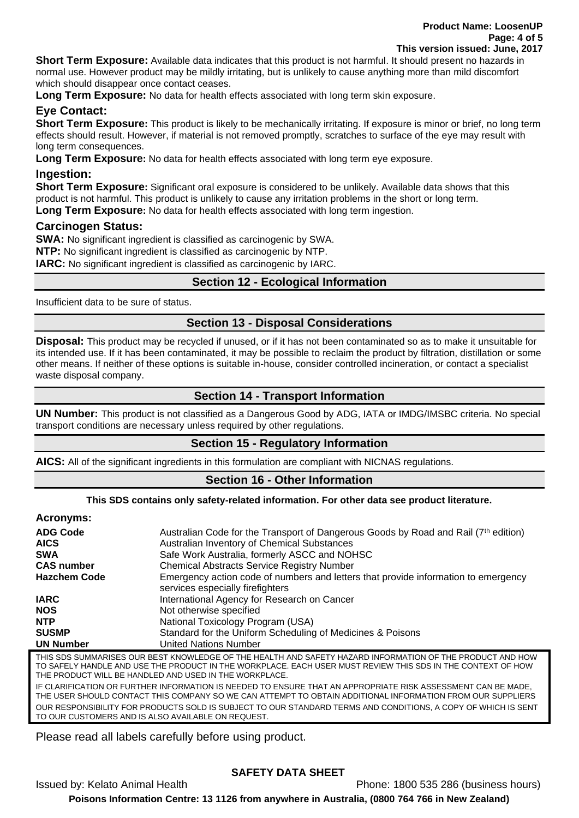**Short Term Exposure:** Available data indicates that this product is not harmful. It should present no hazards in normal use. However product may be mildly irritating, but is unlikely to cause anything more than mild discomfort which should disappear once contact ceases.

**Long Term Exposure:** No data for health effects associated with long term skin exposure.

# **Eye Contact:**

**Short Term Exposure:** This product is likely to be mechanically irritating. If exposure is minor or brief, no long term effects should result. However, if material is not removed promptly, scratches to surface of the eye may result with long term consequences.

**Long Term Exposure:** No data for health effects associated with long term eye exposure.

# **Ingestion:**

**Short Term Exposure:** Significant oral exposure is considered to be unlikely. Available data shows that this product is not harmful. This product is unlikely to cause any irritation problems in the short or long term.

**Long Term Exposure:** No data for health effects associated with long term ingestion.

## **Carcinogen Status:**

**SWA:** No significant ingredient is classified as carcinogenic by SWA.

**NTP:** No significant ingredient is classified as carcinogenic by NTP.

**IARC:** No significant ingredient is classified as carcinogenic by IARC.

# **Section 12 - Ecological Information**

Insufficient data to be sure of status.

# **Section 13 - Disposal Considerations**

**Disposal:** This product may be recycled if unused, or if it has not been contaminated so as to make it unsuitable for its intended use. If it has been contaminated, it may be possible to reclaim the product by filtration, distillation or some other means. If neither of these options is suitable in-house, consider controlled incineration, or contact a specialist waste disposal company.

# **Section 14 - Transport Information**

**UN Number:** This product is not classified as a Dangerous Good by ADG, IATA or IMDG/IMSBC criteria. No special transport conditions are necessary unless required by other regulations.

# **Section 15 - Regulatory Information**

**AICS:** All of the significant ingredients in this formulation are compliant with NICNAS regulations.

# **Section 16 - Other Information**

**This SDS contains only safety-related information. For other data see product literature.**

### **Acronyms:**

| <b>ADG Code</b>                                                                                                 | Australian Code for the Transport of Dangerous Goods by Road and Rail (7 <sup>th</sup> edition)                        |
|-----------------------------------------------------------------------------------------------------------------|------------------------------------------------------------------------------------------------------------------------|
| <b>AICS</b>                                                                                                     | Australian Inventory of Chemical Substances                                                                            |
| <b>SWA</b>                                                                                                      | Safe Work Australia, formerly ASCC and NOHSC                                                                           |
| <b>CAS number</b>                                                                                               | <b>Chemical Abstracts Service Registry Number</b>                                                                      |
| <b>Hazchem Code</b>                                                                                             | Emergency action code of numbers and letters that provide information to emergency<br>services especially firefighters |
| <b>IARC</b>                                                                                                     | International Agency for Research on Cancer                                                                            |
| <b>NOS</b>                                                                                                      | Not otherwise specified                                                                                                |
| <b>NTP</b>                                                                                                      | National Toxicology Program (USA)                                                                                      |
| <b>SUSMP</b>                                                                                                    | Standard for the Uniform Scheduling of Medicines & Poisons                                                             |
| <b>UN Number</b>                                                                                                | <b>United Nations Number</b>                                                                                           |
| TUR CDC CUMMADICES<br><u>DECT KNOWLEDCE OF TUE UEALTH AND CAFETY HAZADD INFODIAATION OF TUE DDODUCT AND HOU</u> |                                                                                                                        |

THIS SDS SUMMARISES OUR BEST KNOWLEDGE OF THE HEALTH AND SAFETY HAZARD INFORMATION OF THE PRODUCT AND HOW TO SAFELY HANDLE AND USE THE PRODUCT IN THE WORKPLACE. EACH USER MUST REVIEW THIS SDS IN THE CONTEXT OF HOW THE PRODUCT WILL BE HANDLED AND USED IN THE WORKPLACE. IF CLARIFICATION OR FURTHER INFORMATION IS NEEDED TO ENSURE THAT AN APPROPRIATE RISK ASSESSMENT CAN BE MADE, THE USER SHOULD CONTACT THIS COMPANY SO WE CAN ATTEMPT TO OBTAIN ADDITIONAL INFORMATION FROM OUR SUPPLIERS OUR RESPONSIBILITY FOR PRODUCTS SOLD IS SUBJECT TO OUR STANDARD TERMS AND CONDITIONS, A COPY OF WHICH IS SENT TO OUR CUSTOMERS AND IS ALSO AVAILABLE ON REQUEST.

Please read all labels carefully before using product.

# **SAFETY DATA SHEET**

Issued by: Kelato Animal Health Phone: 1800 535 286 (business hours) **Poisons Information Centre: 13 1126 from anywhere in Australia, (0800 764 766 in New Zealand)**